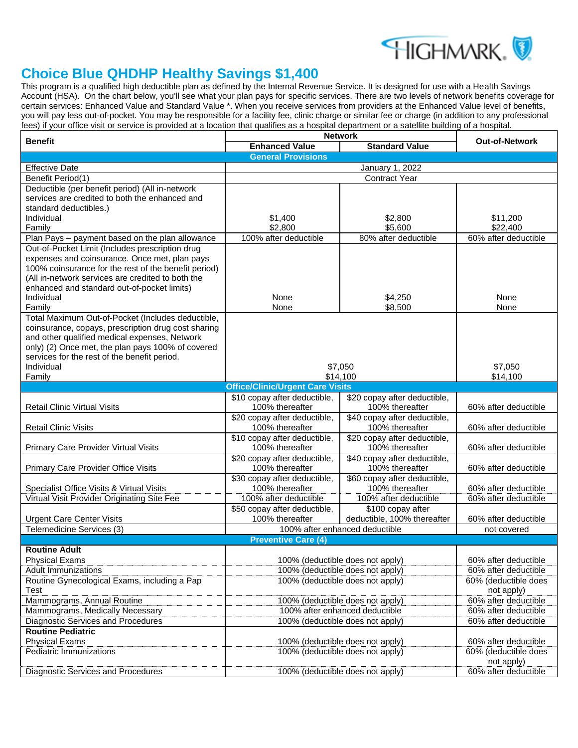

## **Choice Blue QHDHP Healthy Savings \$1,400**

This program is a qualified high deductible plan as defined by the Internal Revenue Service. It is designed for use with a Health Savings Account (HSA). On the chart below, you'll see what your plan pays for specific services. There are two levels of network benefits coverage for certain services: Enhanced Value and Standard Value \*. When you receive services from providers at the Enhanced Value level of benefits, you will pay less out-of-pocket. You may be responsible for a facility fee, clinic charge or similar fee or charge (in addition to any professional fees) if your office visit or service is provided at a location that qualifies as a hospital department or a satellite building of a hospital.

| Benefit                                                        | <b>Network</b>                                                       | <b>Out-of-Network</b>            |                                              |  |
|----------------------------------------------------------------|----------------------------------------------------------------------|----------------------------------|----------------------------------------------|--|
|                                                                | <b>Enhanced Value</b>                                                | <b>Standard Value</b>            |                                              |  |
|                                                                | <b>General Provisions</b>                                            |                                  |                                              |  |
| <b>Effective Date</b>                                          | January 1, 2022                                                      |                                  |                                              |  |
| Benefit Period(1)                                              |                                                                      |                                  |                                              |  |
| Deductible (per benefit period) (All in-network                |                                                                      |                                  |                                              |  |
| services are credited to both the enhanced and                 |                                                                      |                                  |                                              |  |
| standard deductibles.)                                         |                                                                      |                                  |                                              |  |
| Individual                                                     | \$1,400                                                              | \$2,800                          | \$11,200                                     |  |
| Family                                                         | \$2,800                                                              | \$5,600                          | \$22,400                                     |  |
| Plan Pays - payment based on the plan allowance                | 100% after deductible                                                | 80% after deductible             | 60% after deductible                         |  |
| Out-of-Pocket Limit (Includes prescription drug                |                                                                      |                                  |                                              |  |
| expenses and coinsurance. Once met, plan pays                  |                                                                      |                                  |                                              |  |
| 100% coinsurance for the rest of the benefit period)           |                                                                      |                                  |                                              |  |
| (All in-network services are credited to both the              |                                                                      |                                  |                                              |  |
| enhanced and standard out-of-pocket limits)                    |                                                                      |                                  |                                              |  |
| Individual                                                     | None                                                                 | \$4,250                          | None                                         |  |
| Family<br>Total Maximum Out-of-Pocket (Includes deductible,    | None                                                                 | \$8,500                          | None                                         |  |
| coinsurance, copays, prescription drug cost sharing            |                                                                      |                                  |                                              |  |
| and other qualified medical expenses, Network                  |                                                                      |                                  |                                              |  |
| only) (2) Once met, the plan pays 100% of covered              |                                                                      |                                  |                                              |  |
| services for the rest of the benefit period.                   |                                                                      |                                  |                                              |  |
| Individual                                                     |                                                                      | \$7,050                          | \$7,050                                      |  |
| Family                                                         |                                                                      | \$14,100                         | \$14,100                                     |  |
|                                                                | <b>Office/Clinic/Urgent Care Visits</b>                              |                                  |                                              |  |
|                                                                | \$10 copay after deductible.                                         | \$20 copay after deductible,     |                                              |  |
| <b>Retail Clinic Virtual Visits</b>                            | 100% thereafter                                                      | 100% thereafter                  | 60% after deductible                         |  |
|                                                                | \$20 copay after deductible,                                         | \$40 copay after deductible,     |                                              |  |
| <b>Retail Clinic Visits</b>                                    | 100% thereafter                                                      | 100% thereafter                  | 60% after deductible                         |  |
|                                                                | \$10 copay after deductible,                                         | \$20 copay after deductible,     |                                              |  |
| Primary Care Provider Virtual Visits                           | 100% thereafter                                                      | 100% thereafter                  | 60% after deductible                         |  |
|                                                                | \$20 copay after deductible,                                         | \$40 copay after deductible,     |                                              |  |
| <b>Primary Care Provider Office Visits</b>                     | 100% thereafter                                                      | 100% thereafter                  | 60% after deductible                         |  |
|                                                                | \$30 copay after deductible,                                         | \$60 copay after deductible,     |                                              |  |
| Specialist Office Visits & Virtual Visits                      | 100% thereafter                                                      | 100% thereafter                  | 60% after deductible                         |  |
| Virtual Visit Provider Originating Site Fee                    | 100% after deductible                                                | 100% after deductible            | 60% after deductible                         |  |
|                                                                | \$50 copay after deductible,                                         | \$100 copay after                |                                              |  |
| <b>Urgent Care Center Visits</b>                               | 100% thereafter                                                      | deductible, 100% thereafter      | 60% after deductible                         |  |
| Telemedicine Services (3)                                      |                                                                      | 100% after enhanced deductible   | not covered                                  |  |
|                                                                | <b>Preventive Care (4)</b>                                           |                                  |                                              |  |
| <b>Routine Adult</b>                                           |                                                                      |                                  |                                              |  |
| <b>Physical Exams</b>                                          | 100% (deductible does not apply)                                     |                                  | 60% after deductible                         |  |
| <b>Adult Immunizations</b>                                     | 100% (deductible does not apply)                                     |                                  | 60% after deductible<br>60% (deductible does |  |
| Routine Gynecological Exams, including a Pap                   |                                                                      | 100% (deductible does not apply) |                                              |  |
| Test                                                           |                                                                      |                                  | not apply)                                   |  |
| Mammograms, Annual Routine                                     | 100% (deductible does not apply)                                     |                                  | 60% after deductible                         |  |
| Mammograms, Medically Necessary                                | 100% after enhanced deductible                                       |                                  | 60% after deductible<br>60% after deductible |  |
| Diagnostic Services and Procedures<br><b>Routine Pediatric</b> |                                                                      | 100% (deductible does not apply) |                                              |  |
|                                                                |                                                                      |                                  | 60% after deductible                         |  |
| <b>Physical Exams</b><br>Pediatric Immunizations               | 100% (deductible does not apply)<br>100% (deductible does not apply) |                                  | 60% (deductible does                         |  |
|                                                                |                                                                      |                                  | not apply)                                   |  |
| Diagnostic Services and Procedures                             |                                                                      | 100% (deductible does not apply) | 60% after deductible                         |  |
|                                                                |                                                                      |                                  |                                              |  |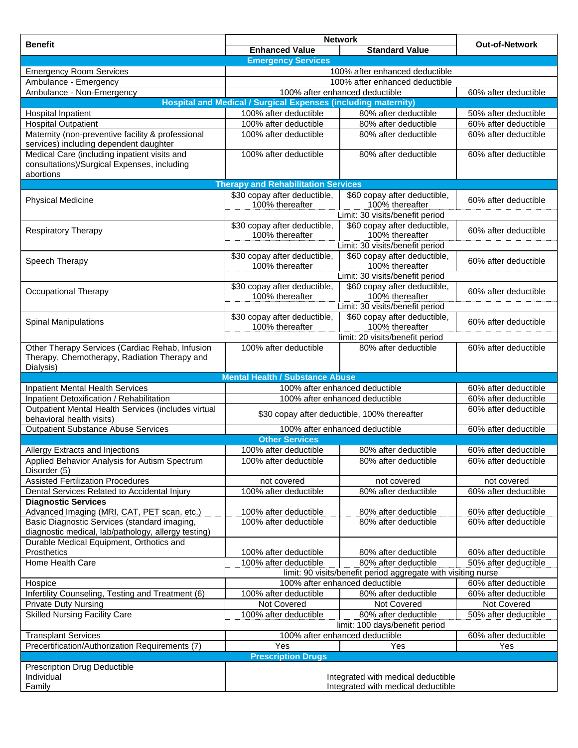| <b>Benefit</b>                                                                                               |                                                                       | <b>Network</b>                                                | <b>Out-of-Network</b>                        |  |
|--------------------------------------------------------------------------------------------------------------|-----------------------------------------------------------------------|---------------------------------------------------------------|----------------------------------------------|--|
|                                                                                                              | <b>Enhanced Value</b>                                                 | <b>Standard Value</b>                                         |                                              |  |
|                                                                                                              | <b>Emergency Services</b>                                             |                                                               |                                              |  |
| <b>Emergency Room Services</b>                                                                               |                                                                       | 100% after enhanced deductible                                |                                              |  |
| Ambulance - Emergency                                                                                        |                                                                       | 100% after enhanced deductible                                |                                              |  |
| Ambulance - Non-Emergency                                                                                    |                                                                       | 100% after enhanced deductible                                | 60% after deductible                         |  |
|                                                                                                              | <b>Hospital and Medical / Surgical Expenses (including maternity)</b> |                                                               |                                              |  |
| Hospital Inpatient                                                                                           | 100% after deductible                                                 | 80% after deductible                                          | 50% after deductible                         |  |
| <b>Hospital Outpatient</b>                                                                                   | 100% after deductible                                                 | 80% after deductible                                          | 60% after deductible                         |  |
| Maternity (non-preventive facility & professional<br>services) including dependent daughter                  | 100% after deductible                                                 | 80% after deductible                                          | 60% after deductible                         |  |
| Medical Care (including inpatient visits and<br>consultations)/Surgical Expenses, including<br>abortions     | 100% after deductible                                                 | 80% after deductible                                          | 60% after deductible                         |  |
|                                                                                                              | <b>Therapy and Rehabilitation Services</b>                            |                                                               |                                              |  |
|                                                                                                              | \$30 copay after deductible,                                          | \$60 copay after deductible,                                  |                                              |  |
| <b>Physical Medicine</b>                                                                                     | 100% thereafter                                                       | 100% thereafter                                               | 60% after deductible                         |  |
|                                                                                                              |                                                                       | Limit: 30 visits/benefit period                               |                                              |  |
| <b>Respiratory Therapy</b>                                                                                   | \$30 copay after deductible,<br>100% thereafter                       | \$60 copay after deductible,<br>100% thereafter               | 60% after deductible                         |  |
|                                                                                                              |                                                                       | Limit: 30 visits/benefit period                               |                                              |  |
| Speech Therapy                                                                                               | \$30 copay after deductible,<br>100% thereafter                       | \$60 copay after deductible,<br>100% thereafter               | 60% after deductible                         |  |
|                                                                                                              |                                                                       | Limit: 30 visits/benefit period                               |                                              |  |
| Occupational Therapy                                                                                         | \$30 copay after deductible,<br>100% thereafter                       | \$60 copay after deductible,<br>100% thereafter               | 60% after deductible                         |  |
|                                                                                                              |                                                                       | Limit: 30 visits/benefit period                               |                                              |  |
|                                                                                                              | \$30 copay after deductible,                                          | \$60 copay after deductible,                                  |                                              |  |
| <b>Spinal Manipulations</b>                                                                                  | 100% thereafter                                                       | 100% thereafter                                               | 60% after deductible                         |  |
|                                                                                                              |                                                                       | limit: 20 visits/benefit period                               |                                              |  |
| Other Therapy Services (Cardiac Rehab, Infusion<br>Therapy, Chemotherapy, Radiation Therapy and<br>Dialysis) | 100% after deductible                                                 | 80% after deductible                                          | 60% after deductible                         |  |
|                                                                                                              | <b>Mental Health / Substance Abuse</b>                                |                                                               |                                              |  |
| <b>Inpatient Mental Health Services</b>                                                                      | 100% after enhanced deductible                                        |                                                               | 60% after deductible                         |  |
| Inpatient Detoxification / Rehabilitation                                                                    | 100% after enhanced deductible                                        |                                                               | 60% after deductible                         |  |
| Outpatient Mental Health Services (includes virtual<br>behavioral health visits)                             | \$30 copay after deductible, 100% thereafter                          |                                                               | 60% after deductible                         |  |
| <b>Outpatient Substance Abuse Services</b>                                                                   | 60% after deductible<br>100% after enhanced deductible                |                                                               |                                              |  |
|                                                                                                              | <b>Other Services</b>                                                 |                                                               |                                              |  |
| Allergy Extracts and Injections                                                                              | 100% after deductible                                                 | 80% after deductible                                          | 60% after deductible                         |  |
| Applied Behavior Analysis for Autism Spectrum<br>Disorder (5)                                                | 100% after deductible                                                 | 80% after deductible                                          | 60% after deductible                         |  |
| <b>Assisted Fertilization Procedures</b>                                                                     | not covered                                                           | not covered                                                   | not covered                                  |  |
| Dental Services Related to Accidental Injury                                                                 | 100% after deductible                                                 | 80% after deductible                                          | 60% after deductible                         |  |
| <b>Diagnostic Services</b>                                                                                   |                                                                       |                                                               |                                              |  |
| Advanced Imaging (MRI, CAT, PET scan, etc.)<br>Basic Diagnostic Services (standard imaging,                  | 100% after deductible<br>100% after deductible                        | 80% after deductible<br>80% after deductible                  | 60% after deductible<br>60% after deductible |  |
| diagnostic medical, lab/pathology, allergy testing)                                                          |                                                                       |                                                               |                                              |  |
| Durable Medical Equipment, Orthotics and                                                                     |                                                                       |                                                               |                                              |  |
| Prosthetics                                                                                                  | 100% after deductible                                                 | 80% after deductible                                          | 60% after deductible                         |  |
| Home Health Care                                                                                             | 100% after deductible                                                 | 80% after deductible                                          | 50% after deductible                         |  |
|                                                                                                              |                                                                       | limit: 90 visits/benefit period aggregate with visiting nurse |                                              |  |
| Hospice                                                                                                      |                                                                       | 100% after enhanced deductible                                | 60% after deductible                         |  |
| Infertility Counseling, Testing and Treatment (6)                                                            | 100% after deductible                                                 | 80% after deductible                                          | 60% after deductible                         |  |
| <b>Private Duty Nursing</b>                                                                                  | Not Covered                                                           | Not Covered                                                   | Not Covered                                  |  |
| <b>Skilled Nursing Facility Care</b>                                                                         | 100% after deductible                                                 | 80% after deductible                                          | 50% after deductible                         |  |
|                                                                                                              |                                                                       | limit: 100 days/benefit period                                |                                              |  |
| <b>Transplant Services</b>                                                                                   |                                                                       | 100% after enhanced deductible                                | 60% after deductible                         |  |
| Precertification/Authorization Requirements (7)                                                              | Yes                                                                   | Yes                                                           | Yes                                          |  |
| <b>Prescription Drugs</b>                                                                                    |                                                                       |                                                               |                                              |  |
| Prescription Drug Deductible                                                                                 |                                                                       |                                                               |                                              |  |
| Individual                                                                                                   | Integrated with medical deductible                                    |                                                               |                                              |  |
| Family                                                                                                       | Integrated with medical deductible                                    |                                                               |                                              |  |